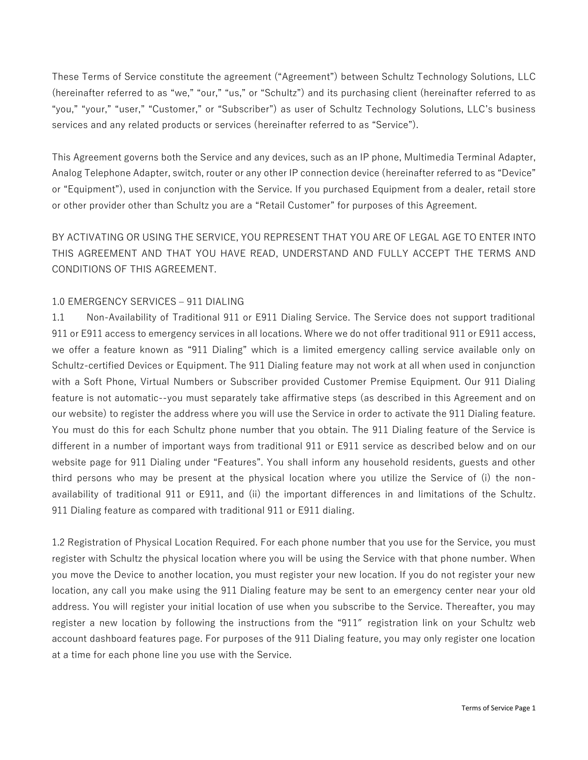These Terms of Service constitute the agreement ("Agreement") between Schultz Technology Solutions, LLC (hereinafter referred to as "we," "our," "us," or "Schultz") and its purchasing client (hereinafter referred to as "you," "your," "user," "Customer," or "Subscriber") as user of Schultz Technology Solutions, LLC's business services and any related products or services (hereinafter referred to as "Service").

This Agreement governs both the Service and any devices, such as an IP phone, Multimedia Terminal Adapter, Analog Telephone Adapter, switch, router or any other IP connection device (hereinafter referred to as "Device" or "Equipment"), used in conjunction with the Service. If you purchased Equipment from a dealer, retail store or other provider other than Schultz you are a "Retail Customer" for purposes of this Agreement.

BY ACTIVATING OR USING THE SERVICE, YOU REPRESENT THAT YOU ARE OF LEGAL AGE TO ENTER INTO THIS AGREEMENT AND THAT YOU HAVE READ, UNDERSTAND AND FULLY ACCEPT THE TERMS AND CONDITIONS OF THIS AGREEMENT.

# 1.0 EMERGENCY SERVICES – 911 DIALING

1.1 Non-Availability of Traditional 911 or E911 Dialing Service. The Service does not support traditional 911 or E911 access to emergency services in all locations. Where we do not offer traditional 911 or E911 access, we offer a feature known as "911 Dialing" which is a limited emergency calling service available only on Schultz-certified Devices or Equipment. The 911 Dialing feature may not work at all when used in conjunction with a Soft Phone, Virtual Numbers or Subscriber provided Customer Premise Equipment. Our 911 Dialing feature is not automatic--you must separately take affirmative steps (as described in this Agreement and on our website) to register the address where you will use the Service in order to activate the 911 Dialing feature. You must do this for each Schultz phone number that you obtain. The 911 Dialing feature of the Service is different in a number of important ways from traditional 911 or E911 service as described below and on our website page for 911 Dialing under "Features". You shall inform any household residents, guests and other third persons who may be present at the physical location where you utilize the Service of (i) the nonavailability of traditional 911 or E911, and (ii) the important differences in and limitations of the Schultz. 911 Dialing feature as compared with traditional 911 or E911 dialing.

1.2 Registration of Physical Location Required. For each phone number that you use for the Service, you must register with Schultz the physical location where you will be using the Service with that phone number. When you move the Device to another location, you must register your new location. If you do not register your new location, any call you make using the 911 Dialing feature may be sent to an emergency center near your old address. You will register your initial location of use when you subscribe to the Service. Thereafter, you may register a new location by following the instructions from the "911" registration link on your Schultz web account dashboard features page. For purposes of the 911 Dialing feature, you may only register one location at a time for each phone line you use with the Service.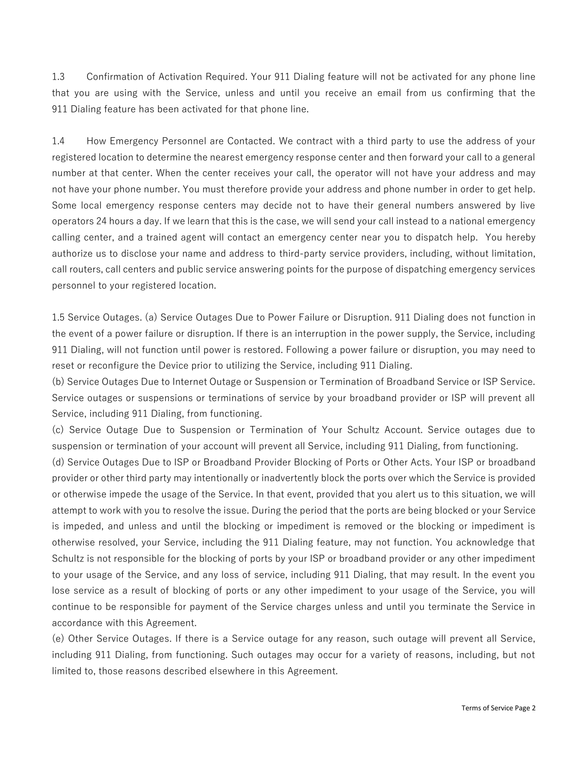1.3 Confirmation of Activation Required. Your 911 Dialing feature will not be activated for any phone line that you are using with the Service, unless and until you receive an email from us confirming that the 911 Dialing feature has been activated for that phone line.

1.4 How Emergency Personnel are Contacted. We contract with a third party to use the address of your registered location to determine the nearest emergency response center and then forward your call to a general number at that center. When the center receives your call, the operator will not have your address and may not have your phone number. You must therefore provide your address and phone number in order to get help. Some local emergency response centers may decide not to have their general numbers answered by live operators 24 hours a day. If we learn that this is the case, we will send your call instead to a national emergency calling center, and a trained agent will contact an emergency center near you to dispatch help. You hereby authorize us to disclose your name and address to third-party service providers, including, without limitation, call routers, call centers and public service answering points for the purpose of dispatching emergency services personnel to your registered location.

1.5 Service Outages. (a) Service Outages Due to Power Failure or Disruption. 911 Dialing does not function in the event of a power failure or disruption. If there is an interruption in the power supply, the Service, including 911 Dialing, will not function until power is restored. Following a power failure or disruption, you may need to reset or reconfigure the Device prior to utilizing the Service, including 911 Dialing.

(b) Service Outages Due to Internet Outage or Suspension or Termination of Broadband Service or ISP Service. Service outages or suspensions or terminations of service by your broadband provider or ISP will prevent all Service, including 911 Dialing, from functioning.

(c) Service Outage Due to Suspension or Termination of Your Schultz Account. Service outages due to suspension or termination of your account will prevent all Service, including 911 Dialing, from functioning.

(d) Service Outages Due to ISP or Broadband Provider Blocking of Ports or Other Acts. Your ISP or broadband provider or other third party may intentionally or inadvertently block the ports over which the Service is provided or otherwise impede the usage of the Service. In that event, provided that you alert us to this situation, we will attempt to work with you to resolve the issue. During the period that the ports are being blocked or your Service is impeded, and unless and until the blocking or impediment is removed or the blocking or impediment is otherwise resolved, your Service, including the 911 Dialing feature, may not function. You acknowledge that Schultz is not responsible for the blocking of ports by your ISP or broadband provider or any other impediment to your usage of the Service, and any loss of service, including 911 Dialing, that may result. In the event you lose service as a result of blocking of ports or any other impediment to your usage of the Service, you will continue to be responsible for payment of the Service charges unless and until you terminate the Service in accordance with this Agreement.

(e) Other Service Outages. If there is a Service outage for any reason, such outage will prevent all Service, including 911 Dialing, from functioning. Such outages may occur for a variety of reasons, including, but not limited to, those reasons described elsewhere in this Agreement.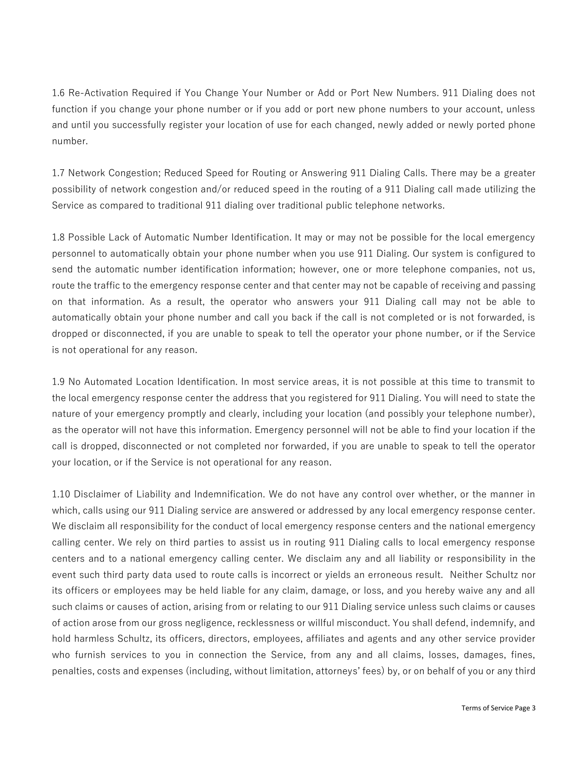1.6 Re-Activation Required if You Change Your Number or Add or Port New Numbers. 911 Dialing does not function if you change your phone number or if you add or port new phone numbers to your account, unless and until you successfully register your location of use for each changed, newly added or newly ported phone number.

1.7 Network Congestion; Reduced Speed for Routing or Answering 911 Dialing Calls. There may be a greater possibility of network congestion and/or reduced speed in the routing of a 911 Dialing call made utilizing the Service as compared to traditional 911 dialing over traditional public telephone networks.

1.8 Possible Lack of Automatic Number Identification. It may or may not be possible for the local emergency personnel to automatically obtain your phone number when you use 911 Dialing. Our system is configured to send the automatic number identification information; however, one or more telephone companies, not us, route the traffic to the emergency response center and that center may not be capable of receiving and passing on that information. As a result, the operator who answers your 911 Dialing call may not be able to automatically obtain your phone number and call you back if the call is not completed or is not forwarded, is dropped or disconnected, if you are unable to speak to tell the operator your phone number, or if the Service is not operational for any reason.

1.9 No Automated Location Identification. In most service areas, it is not possible at this time to transmit to the local emergency response center the address that you registered for 911 Dialing. You will need to state the nature of your emergency promptly and clearly, including your location (and possibly your telephone number), as the operator will not have this information. Emergency personnel will not be able to find your location if the call is dropped, disconnected or not completed nor forwarded, if you are unable to speak to tell the operator your location, or if the Service is not operational for any reason.

1.10 Disclaimer of Liability and Indemnification. We do not have any control over whether, or the manner in which, calls using our 911 Dialing service are answered or addressed by any local emergency response center. We disclaim all responsibility for the conduct of local emergency response centers and the national emergency calling center. We rely on third parties to assist us in routing 911 Dialing calls to local emergency response centers and to a national emergency calling center. We disclaim any and all liability or responsibility in the event such third party data used to route calls is incorrect or yields an erroneous result. Neither Schultz nor its officers or employees may be held liable for any claim, damage, or loss, and you hereby waive any and all such claims or causes of action, arising from or relating to our 911 Dialing service unless such claims or causes of action arose from our gross negligence, recklessness or willful misconduct. You shall defend, indemnify, and hold harmless Schultz, its officers, directors, employees, affiliates and agents and any other service provider who furnish services to you in connection the Service, from any and all claims, losses, damages, fines, penalties, costs and expenses (including, without limitation, attorneys' fees) by, or on behalf of you or any third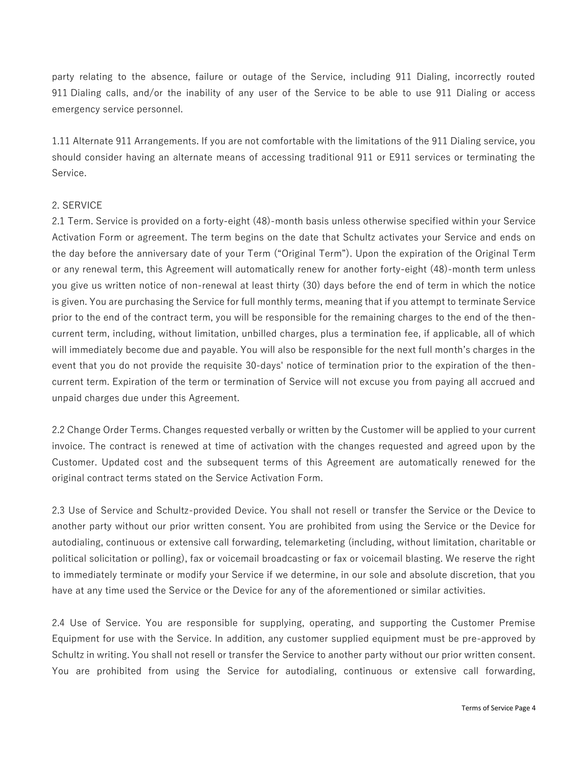party relating to the absence, failure or outage of the Service, including 911 Dialing, incorrectly routed 911 Dialing calls, and/or the inability of any user of the Service to be able to use 911 Dialing or access emergency service personnel.

1.11 Alternate 911 Arrangements. If you are not comfortable with the limitations of the 911 Dialing service, you should consider having an alternate means of accessing traditional 911 or E911 services or terminating the Service.

### 2. SERVICE

2.1 Term. Service is provided on a forty-eight (48)-month basis unless otherwise specified within your Service Activation Form or agreement. The term begins on the date that Schultz activates your Service and ends on the day before the anniversary date of your Term ("Original Term"). Upon the expiration of the Original Term or any renewal term, this Agreement will automatically renew for another forty-eight (48)-month term unless you give us written notice of non-renewal at least thirty (30) days before the end of term in which the notice is given. You are purchasing the Service for full monthly terms, meaning that if you attempt to terminate Service prior to the end of the contract term, you will be responsible for the remaining charges to the end of the thencurrent term, including, without limitation, unbilled charges, plus a termination fee, if applicable, all of which will immediately become due and payable. You will also be responsible for the next full month's charges in the event that you do not provide the requisite 30-days' notice of termination prior to the expiration of the thencurrent term. Expiration of the term or termination of Service will not excuse you from paying all accrued and unpaid charges due under this Agreement.

2.2 Change Order Terms. Changes requested verbally or written by the Customer will be applied to your current invoice. The contract is renewed at time of activation with the changes requested and agreed upon by the Customer. Updated cost and the subsequent terms of this Agreement are automatically renewed for the original contract terms stated on the Service Activation Form.

2.3 Use of Service and Schultz-provided Device. You shall not resell or transfer the Service or the Device to another party without our prior written consent. You are prohibited from using the Service or the Device for autodialing, continuous or extensive call forwarding, telemarketing (including, without limitation, charitable or political solicitation or polling), fax or voicemail broadcasting or fax or voicemail blasting. We reserve the right to immediately terminate or modify your Service if we determine, in our sole and absolute discretion, that you have at any time used the Service or the Device for any of the aforementioned or similar activities.

2.4 Use of Service. You are responsible for supplying, operating, and supporting the Customer Premise Equipment for use with the Service. In addition, any customer supplied equipment must be pre-approved by Schultz in writing. You shall not resell or transfer the Service to another party without our prior written consent. You are prohibited from using the Service for autodialing, continuous or extensive call forwarding,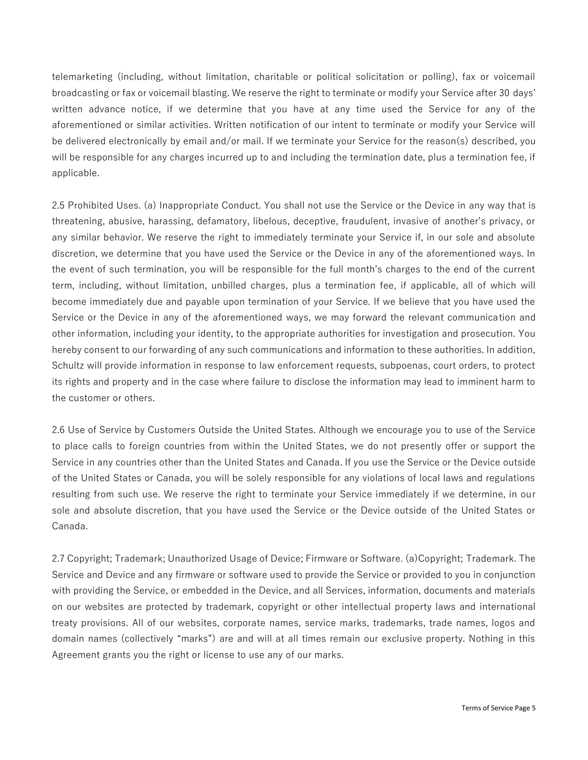telemarketing (including, without limitation, charitable or political solicitation or polling), fax or voicemail broadcasting or fax or voicemail blasting. We reserve the right to terminate or modify your Service after 30 days' written advance notice, if we determine that you have at any time used the Service for any of the aforementioned or similar activities. Written notification of our intent to terminate or modify your Service will be delivered electronically by email and/or mail. If we terminate your Service for the reason(s) described, you will be responsible for any charges incurred up to and including the termination date, plus a termination fee, if applicable.

2.5 Prohibited Uses. (a) Inappropriate Conduct. You shall not use the Service or the Device in any way that is threatening, abusive, harassing, defamatory, libelous, deceptive, fraudulent, invasive of another's privacy, or any similar behavior. We reserve the right to immediately terminate your Service if, in our sole and absolute discretion, we determine that you have used the Service or the Device in any of the aforementioned ways. In the event of such termination, you will be responsible for the full month's charges to the end of the current term, including, without limitation, unbilled charges, plus a termination fee, if applicable, all of which will become immediately due and payable upon termination of your Service. If we believe that you have used the Service or the Device in any of the aforementioned ways, we may forward the relevant communication and other information, including your identity, to the appropriate authorities for investigation and prosecution. You hereby consent to our forwarding of any such communications and information to these authorities. In addition, Schultz will provide information in response to law enforcement requests, subpoenas, court orders, to protect its rights and property and in the case where failure to disclose the information may lead to imminent harm to the customer or others.

2.6 Use of Service by Customers Outside the United States. Although we encourage you to use of the Service to place calls to foreign countries from within the United States, we do not presently offer or support the Service in any countries other than the United States and Canada. If you use the Service or the Device outside of the United States or Canada, you will be solely responsible for any violations of local laws and regulations resulting from such use. We reserve the right to terminate your Service immediately if we determine, in our sole and absolute discretion, that you have used the Service or the Device outside of the United States or Canada.

2.7 Copyright; Trademark; Unauthorized Usage of Device; Firmware or Software. (a)Copyright; Trademark. The Service and Device and any firmware or software used to provide the Service or provided to you in conjunction with providing the Service, or embedded in the Device, and all Services, information, documents and materials on our websites are protected by trademark, copyright or other intellectual property laws and international treaty provisions. All of our websites, corporate names, service marks, trademarks, trade names, logos and domain names (collectively "marks") are and will at all times remain our exclusive property. Nothing in this Agreement grants you the right or license to use any of our marks.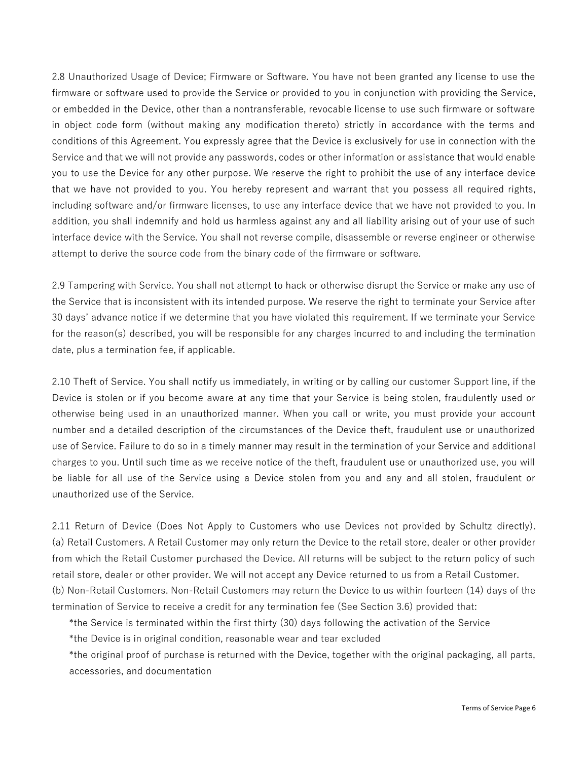2.8 Unauthorized Usage of Device; Firmware or Software. You have not been granted any license to use the firmware or software used to provide the Service or provided to you in conjunction with providing the Service, or embedded in the Device, other than a nontransferable, revocable license to use such firmware or software in object code form (without making any modification thereto) strictly in accordance with the terms and conditions of this Agreement. You expressly agree that the Device is exclusively for use in connection with the Service and that we will not provide any passwords, codes or other information or assistance that would enable you to use the Device for any other purpose. We reserve the right to prohibit the use of any interface device that we have not provided to you. You hereby represent and warrant that you possess all required rights, including software and/or firmware licenses, to use any interface device that we have not provided to you. In addition, you shall indemnify and hold us harmless against any and all liability arising out of your use of such interface device with the Service. You shall not reverse compile, disassemble or reverse engineer or otherwise attempt to derive the source code from the binary code of the firmware or software.

2.9 Tampering with Service. You shall not attempt to hack or otherwise disrupt the Service or make any use of the Service that is inconsistent with its intended purpose. We reserve the right to terminate your Service after 30 days' advance notice if we determine that you have violated this requirement. If we terminate your Service for the reason(s) described, you will be responsible for any charges incurred to and including the termination date, plus a termination fee, if applicable.

2.10 Theft of Service. You shall notify us immediately, in writing or by calling our customer Support line, if the Device is stolen or if you become aware at any time that your Service is being stolen, fraudulently used or otherwise being used in an unauthorized manner. When you call or write, you must provide your account number and a detailed description of the circumstances of the Device theft, fraudulent use or unauthorized use of Service. Failure to do so in a timely manner may result in the termination of your Service and additional charges to you. Until such time as we receive notice of the theft, fraudulent use or unauthorized use, you will be liable for all use of the Service using a Device stolen from you and any and all stolen, fraudulent or unauthorized use of the Service.

2.11 Return of Device (Does Not Apply to Customers who use Devices not provided by Schultz directly). (a) Retail Customers. A Retail Customer may only return the Device to the retail store, dealer or other provider from which the Retail Customer purchased the Device. All returns will be subject to the return policy of such retail store, dealer or other provider. We will not accept any Device returned to us from a Retail Customer. (b) Non-Retail Customers. Non-Retail Customers may return the Device to us within fourteen (14) days of the termination of Service to receive a credit for any termination fee (See Section 3.6) provided that:

\*the Service is terminated within the first thirty (30) days following the activation of the Service

\*the Device is in original condition, reasonable wear and tear excluded

\*the original proof of purchase is returned with the Device, together with the original packaging, all parts, accessories, and documentation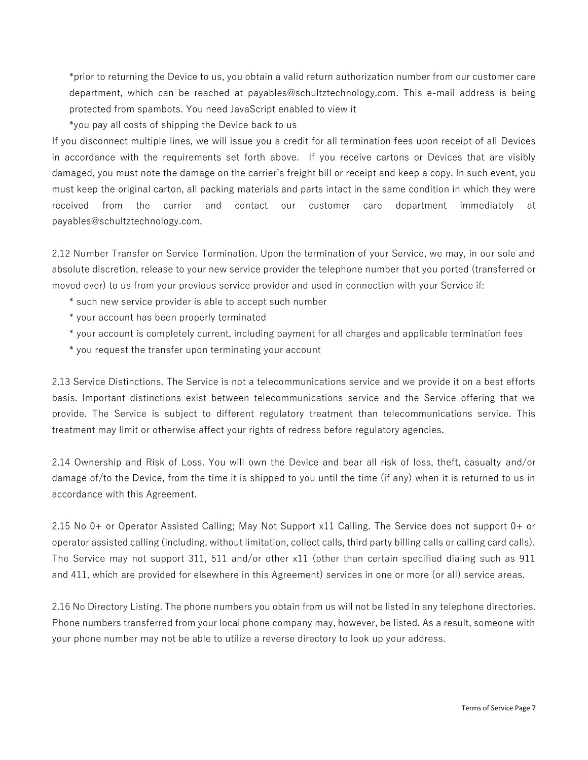\*prior to returning the Device to us, you obtain a valid return authorization number from our customer care department, which can be reached at payables@schultztechnology.com. This e-mail address is being protected from spambots. You need JavaScript enabled to view it

\*you pay all costs of shipping the Device back to us

If you disconnect multiple lines, we will issue you a credit for all termination fees upon receipt of all Devices in accordance with the requirements set forth above. If you receive cartons or Devices that are visibly damaged, you must note the damage on the carrier's freight bill or receipt and keep a copy. In such event, you must keep the original carton, all packing materials and parts intact in the same condition in which they were received from the carrier and contact our customer care department immediately at payables@schultztechnology.com.

2.12 Number Transfer on Service Termination. Upon the termination of your Service, we may, in our sole and absolute discretion, release to your new service provider the telephone number that you ported (transferred or moved over) to us from your previous service provider and used in connection with your Service if:

- \* such new service provider is able to accept such number
- \* your account has been properly terminated
- \* your account is completely current, including payment for all charges and applicable termination fees
- \* you request the transfer upon terminating your account

2.13 Service Distinctions. The Service is not a telecommunications service and we provide it on a best efforts basis. Important distinctions exist between telecommunications service and the Service offering that we provide. The Service is subject to different regulatory treatment than telecommunications service. This treatment may limit or otherwise affect your rights of redress before regulatory agencies.

2.14 Ownership and Risk of Loss. You will own the Device and bear all risk of loss, theft, casualty and/or damage of/to the Device, from the time it is shipped to you until the time (if any) when it is returned to us in accordance with this Agreement.

2.15 No 0+ or Operator Assisted Calling; May Not Support x11 Calling. The Service does not support 0+ or operator assisted calling (including, without limitation, collect calls, third party billing calls or calling card calls). The Service may not support 311, 511 and/or other x11 (other than certain specified dialing such as 911 and 411, which are provided for elsewhere in this Agreement) services in one or more (or all) service areas.

2.16 No Directory Listing. The phone numbers you obtain from us will not be listed in any telephone directories. Phone numbers transferred from your local phone company may, however, be listed. As a result, someone with your phone number may not be able to utilize a reverse directory to look up your address.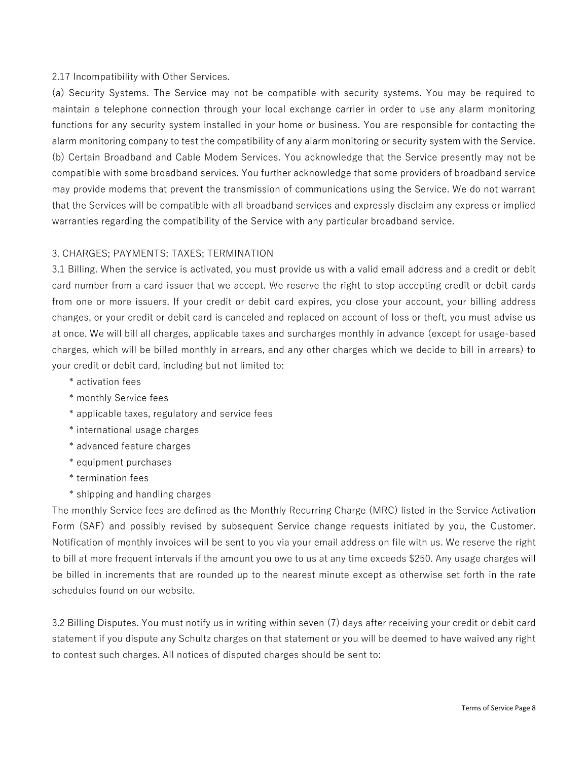### 2.17 Incompatibility with Other Services.

(a) Security Systems. The Service may not be compatible with security systems. You may be required to maintain a telephone connection through your local exchange carrier in order to use any alarm monitoring functions for any security system installed in your home or business. You are responsible for contacting the alarm monitoring company to test the compatibility of any alarm monitoring or security system with the Service. (b) Certain Broadband and Cable Modem Services. You acknowledge that the Service presently may not be compatible with some broadband services. You further acknowledge that some providers of broadband service may provide modems that prevent the transmission of communications using the Service. We do not warrant that the Services will be compatible with all broadband services and expressly disclaim any express or implied warranties regarding the compatibility of the Service with any particular broadband service.

### 3. CHARGES; PAYMENTS; TAXES; TERMINATION

3.1 Billing. When the service is activated, you must provide us with a valid email address and a credit or debit card number from a card issuer that we accept. We reserve the right to stop accepting credit or debit cards from one or more issuers. If your credit or debit card expires, you close your account, your billing address changes, or your credit or debit card is canceled and replaced on account of loss or theft, you must advise us at once. We will bill all charges, applicable taxes and surcharges monthly in advance (except for usage-based charges, which will be billed monthly in arrears, and any other charges which we decide to bill in arrears) to your credit or debit card, including but not limited to:

- \* activation fees
- \* monthly Service fees
- \* applicable taxes, regulatory and service fees
- \* international usage charges
- \* advanced feature charges
- \* equipment purchases
- \* termination fees
- \* shipping and handling charges

The monthly Service fees are defined as the Monthly Recurring Charge (MRC) listed in the Service Activation Form (SAF) and possibly revised by subsequent Service change requests initiated by you, the Customer. Notification of monthly invoices will be sent to you via your email address on file with us. We reserve the right to bill at more frequent intervals if the amount you owe to us at any time exceeds \$250. Any usage charges will be billed in increments that are rounded up to the nearest minute except as otherwise set forth in the rate schedules found on our website.

3.2 Billing Disputes. You must notify us in writing within seven (7) days after receiving your credit or debit card statement if you dispute any Schultz charges on that statement or you will be deemed to have waived any right to contest such charges. All notices of disputed charges should be sent to: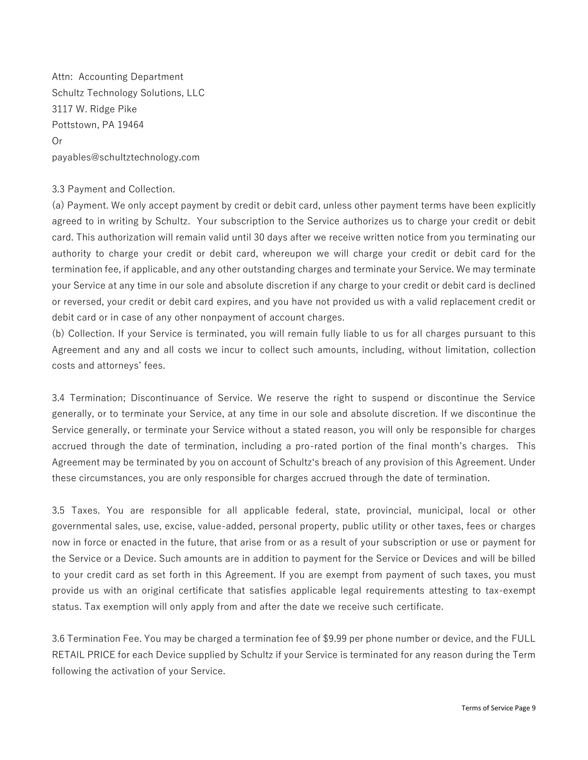Attn: Accounting Department Schultz Technology Solutions, LLC 3117 W. Ridge Pike Pottstown, PA 19464 Or payables@schultztechnology.com

### 3.3 Payment and Collection.

(a) Payment. We only accept payment by credit or debit card, unless other payment terms have been explicitly agreed to in writing by Schultz. Your subscription to the Service authorizes us to charge your credit or debit card. This authorization will remain valid until 30 days after we receive written notice from you terminating our authority to charge your credit or debit card, whereupon we will charge your credit or debit card for the termination fee, if applicable, and any other outstanding charges and terminate your Service. We may terminate your Service at any time in our sole and absolute discretion if any charge to your credit or debit card is declined or reversed, your credit or debit card expires, and you have not provided us with a valid replacement credit or debit card or in case of any other nonpayment of account charges.

(b) Collection. If your Service is terminated, you will remain fully liable to us for all charges pursuant to this Agreement and any and all costs we incur to collect such amounts, including, without limitation, collection costs and attorneys' fees.

3.4 Termination; Discontinuance of Service. We reserve the right to suspend or discontinue the Service generally, or to terminate your Service, at any time in our sole and absolute discretion. If we discontinue the Service generally, or terminate your Service without a stated reason, you will only be responsible for charges accrued through the date of termination, including a pro-rated portion of the final month's charges. This Agreement may be terminated by you on account of Schultz's breach of any provision of this Agreement. Under these circumstances, you are only responsible for charges accrued through the date of termination.

3.5 Taxes. You are responsible for all applicable federal, state, provincial, municipal, local or other governmental sales, use, excise, value-added, personal property, public utility or other taxes, fees or charges now in force or enacted in the future, that arise from or as a result of your subscription or use or payment for the Service or a Device. Such amounts are in addition to payment for the Service or Devices and will be billed to your credit card as set forth in this Agreement. If you are exempt from payment of such taxes, you must provide us with an original certificate that satisfies applicable legal requirements attesting to tax-exempt status. Tax exemption will only apply from and after the date we receive such certificate.

3.6 Termination Fee. You may be charged a termination fee of \$9.99 per phone number or device, and the FULL RETAIL PRICE for each Device supplied by Schultz if your Service is terminated for any reason during the Term following the activation of your Service.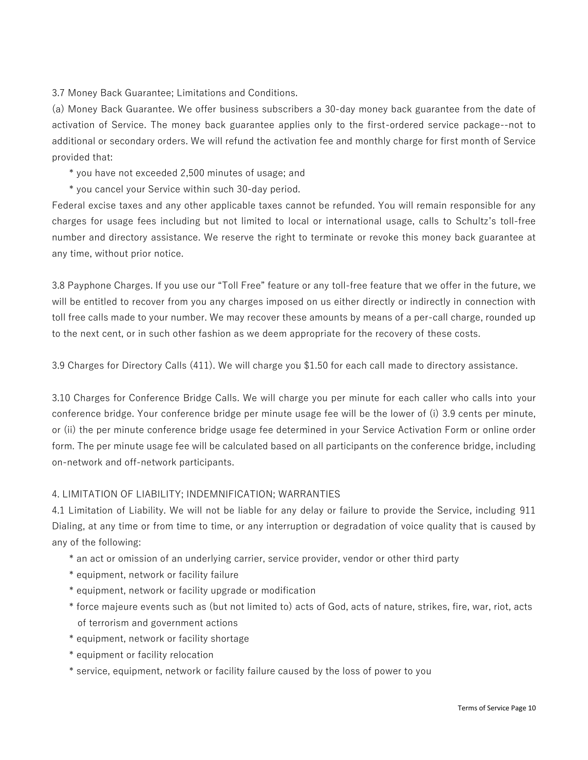3.7 Money Back Guarantee; Limitations and Conditions.

(a) Money Back Guarantee. We offer business subscribers a 30-day money back guarantee from the date of activation of Service. The money back guarantee applies only to the first-ordered service package--not to additional or secondary orders. We will refund the activation fee and monthly charge for first month of Service provided that:

\* you have not exceeded 2,500 minutes of usage; and

\* you cancel your Service within such 30-day period.

Federal excise taxes and any other applicable taxes cannot be refunded. You will remain responsible for any charges for usage fees including but not limited to local or international usage, calls to Schultz's toll-free number and directory assistance. We reserve the right to terminate or revoke this money back guarantee at any time, without prior notice.

3.8 Payphone Charges. If you use our "Toll Free" feature or any toll-free feature that we offer in the future, we will be entitled to recover from you any charges imposed on us either directly or indirectly in connection with toll free calls made to your number. We may recover these amounts by means of a per-call charge, rounded up to the next cent, or in such other fashion as we deem appropriate for the recovery of these costs.

3.9 Charges for Directory Calls (411). We will charge you \$1.50 for each call made to directory assistance.

3.10 Charges for Conference Bridge Calls. We will charge you per minute for each caller who calls into your conference bridge. Your conference bridge per minute usage fee will be the lower of (i) 3.9 cents per minute, or (ii) the per minute conference bridge usage fee determined in your Service Activation Form or online order form. The per minute usage fee will be calculated based on all participants on the conference bridge, including on-network and off-network participants.

## 4. LIMITATION OF LIABILITY; INDEMNIFICATION; WARRANTIES

4.1 Limitation of Liability. We will not be liable for any delay or failure to provide the Service, including 911 Dialing, at any time or from time to time, or any interruption or degradation of voice quality that is caused by any of the following:

- \* an act or omission of an underlying carrier, service provider, vendor or other third party
- \* equipment, network or facility failure
- \* equipment, network or facility upgrade or modification
- \* force majeure events such as (but not limited to) acts of God, acts of nature, strikes, fire, war, riot, acts of terrorism and government actions
- \* equipment, network or facility shortage
- \* equipment or facility relocation
- \* service, equipment, network or facility failure caused by the loss of power to you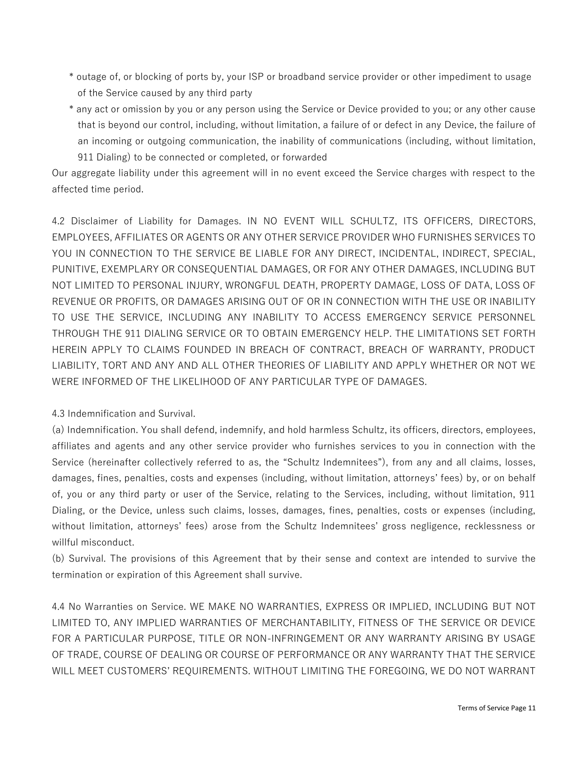- \* outage of, or blocking of ports by, your ISP or broadband service provider or other impediment to usage of the Service caused by any third party
- \* any act or omission by you or any person using the Service or Device provided to you; or any other cause that is beyond our control, including, without limitation, a failure of or defect in any Device, the failure of an incoming or outgoing communication, the inability of communications (including, without limitation, 911 Dialing) to be connected or completed, or forwarded

Our aggregate liability under this agreement will in no event exceed the Service charges with respect to the affected time period.

4.2 Disclaimer of Liability for Damages. IN NO EVENT WILL SCHULTZ, ITS OFFICERS, DIRECTORS, EMPLOYEES, AFFILIATES OR AGENTS OR ANY OTHER SERVICE PROVIDER WHO FURNISHES SERVICES TO YOU IN CONNECTION TO THE SERVICE BE LIABLE FOR ANY DIRECT, INCIDENTAL, INDIRECT, SPECIAL, PUNITIVE, EXEMPLARY OR CONSEQUENTIAL DAMAGES, OR FOR ANY OTHER DAMAGES, INCLUDING BUT NOT LIMITED TO PERSONAL INJURY, WRONGFUL DEATH, PROPERTY DAMAGE, LOSS OF DATA, LOSS OF REVENUE OR PROFITS, OR DAMAGES ARISING OUT OF OR IN CONNECTION WITH THE USE OR INABILITY TO USE THE SERVICE, INCLUDING ANY INABILITY TO ACCESS EMERGENCY SERVICE PERSONNEL THROUGH THE 911 DIALING SERVICE OR TO OBTAIN EMERGENCY HELP. THE LIMITATIONS SET FORTH HEREIN APPLY TO CLAIMS FOUNDED IN BREACH OF CONTRACT, BREACH OF WARRANTY, PRODUCT LIABILITY, TORT AND ANY AND ALL OTHER THEORIES OF LIABILITY AND APPLY WHETHER OR NOT WE WERE INFORMED OF THE LIKELIHOOD OF ANY PARTICULAR TYPE OF DAMAGES.

4.3 Indemnification and Survival.

(a) Indemnification. You shall defend, indemnify, and hold harmless Schultz, its officers, directors, employees, affiliates and agents and any other service provider who furnishes services to you in connection with the Service (hereinafter collectively referred to as, the "Schultz Indemnitees"), from any and all claims, losses, damages, fines, penalties, costs and expenses (including, without limitation, attorneys' fees) by, or on behalf of, you or any third party or user of the Service, relating to the Services, including, without limitation, 911 Dialing, or the Device, unless such claims, losses, damages, fines, penalties, costs or expenses (including, without limitation, attorneys' fees) arose from the Schultz Indemnitees' gross negligence, recklessness or willful misconduct.

(b) Survival. The provisions of this Agreement that by their sense and context are intended to survive the termination or expiration of this Agreement shall survive.

4.4 No Warranties on Service. WE MAKE NO WARRANTIES, EXPRESS OR IMPLIED, INCLUDING BUT NOT LIMITED TO, ANY IMPLIED WARRANTIES OF MERCHANTABILITY, FITNESS OF THE SERVICE OR DEVICE FOR A PARTICULAR PURPOSE, TITLE OR NON-INFRINGEMENT OR ANY WARRANTY ARISING BY USAGE OF TRADE, COURSE OF DEALING OR COURSE OF PERFORMANCE OR ANY WARRANTY THAT THE SERVICE WILL MEET CUSTOMERS' REQUIREMENTS. WITHOUT LIMITING THE FOREGOING, WE DO NOT WARRANT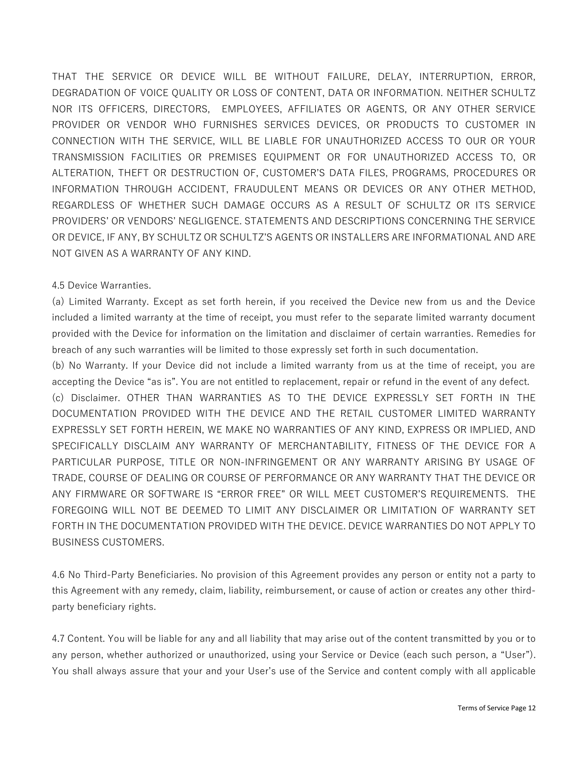THAT THE SERVICE OR DEVICE WILL BE WITHOUT FAILURE, DELAY, INTERRUPTION, ERROR, DEGRADATION OF VOICE QUALITY OR LOSS OF CONTENT, DATA OR INFORMATION. NEITHER SCHULTZ NOR ITS OFFICERS, DIRECTORS, EMPLOYEES, AFFILIATES OR AGENTS, OR ANY OTHER SERVICE PROVIDER OR VENDOR WHO FURNISHES SERVICES DEVICES, OR PRODUCTS TO CUSTOMER IN CONNECTION WITH THE SERVICE, WILL BE LIABLE FOR UNAUTHORIZED ACCESS TO OUR OR YOUR TRANSMISSION FACILITIES OR PREMISES EQUIPMENT OR FOR UNAUTHORIZED ACCESS TO, OR ALTERATION, THEFT OR DESTRUCTION OF, CUSTOMER'S DATA FILES, PROGRAMS, PROCEDURES OR INFORMATION THROUGH ACCIDENT, FRAUDULENT MEANS OR DEVICES OR ANY OTHER METHOD, REGARDLESS OF WHETHER SUCH DAMAGE OCCURS AS A RESULT OF SCHULTZ OR ITS SERVICE PROVIDERS' OR VENDORS' NEGLIGENCE. STATEMENTS AND DESCRIPTIONS CONCERNING THE SERVICE OR DEVICE, IF ANY, BY SCHULTZ OR SCHULTZ'S AGENTS OR INSTALLERS ARE INFORMATIONAL AND ARE NOT GIVEN AS A WARRANTY OF ANY KIND.

# 4.5 Device Warranties.

(a) Limited Warranty. Except as set forth herein, if you received the Device new from us and the Device included a limited warranty at the time of receipt, you must refer to the separate limited warranty document provided with the Device for information on the limitation and disclaimer of certain warranties. Remedies for breach of any such warranties will be limited to those expressly set forth in such documentation.

(b) No Warranty. If your Device did not include a limited warranty from us at the time of receipt, you are accepting the Device "as is". You are not entitled to replacement, repair or refund in the event of any defect. (c) Disclaimer. OTHER THAN WARRANTIES AS TO THE DEVICE EXPRESSLY SET FORTH IN THE DOCUMENTATION PROVIDED WITH THE DEVICE AND THE RETAIL CUSTOMER LIMITED WARRANTY EXPRESSLY SET FORTH HEREIN, WE MAKE NO WARRANTIES OF ANY KIND, EXPRESS OR IMPLIED, AND SPECIFICALLY DISCLAIM ANY WARRANTY OF MERCHANTABILITY, FITNESS OF THE DEVICE FOR A PARTICULAR PURPOSE, TITLE OR NON-INFRINGEMENT OR ANY WARRANTY ARISING BY USAGE OF TRADE, COURSE OF DEALING OR COURSE OF PERFORMANCE OR ANY WARRANTY THAT THE DEVICE OR ANY FIRMWARE OR SOFTWARE IS "ERROR FREE" OR WILL MEET CUSTOMER'S REQUIREMENTS. THE FOREGOING WILL NOT BE DEEMED TO LIMIT ANY DISCLAIMER OR LIMITATION OF WARRANTY SET FORTH IN THE DOCUMENTATION PROVIDED WITH THE DEVICE. DEVICE WARRANTIES DO NOT APPLY TO BUSINESS CUSTOMERS.

4.6 No Third-Party Beneficiaries. No provision of this Agreement provides any person or entity not a party to this Agreement with any remedy, claim, liability, reimbursement, or cause of action or creates any other thirdparty beneficiary rights.

4.7 Content. You will be liable for any and all liability that may arise out of the content transmitted by you or to any person, whether authorized or unauthorized, using your Service or Device (each such person, a "User"). You shall always assure that your and your User's use of the Service and content comply with all applicable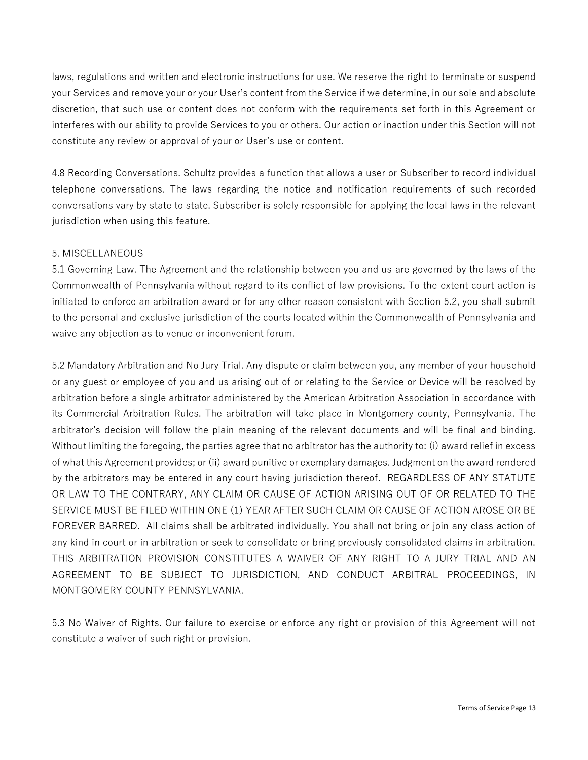laws, regulations and written and electronic instructions for use. We reserve the right to terminate or suspend your Services and remove your or your User's content from the Service if we determine, in our sole and absolute discretion, that such use or content does not conform with the requirements set forth in this Agreement or interferes with our ability to provide Services to you or others. Our action or inaction under this Section will not constitute any review or approval of your or User's use or content.

4.8 Recording Conversations. Schultz provides a function that allows a user or Subscriber to record individual telephone conversations. The laws regarding the notice and notification requirements of such recorded conversations vary by state to state. Subscriber is solely responsible for applying the local laws in the relevant jurisdiction when using this feature.

### 5. MISCELLANEOUS

5.1 Governing Law. The Agreement and the relationship between you and us are governed by the laws of the Commonwealth of Pennsylvania without regard to its conflict of law provisions. To the extent court action is initiated to enforce an arbitration award or for any other reason consistent with Section 5.2, you shall submit to the personal and exclusive jurisdiction of the courts located within the Commonwealth of Pennsylvania and waive any objection as to venue or inconvenient forum.

5.2 Mandatory Arbitration and No Jury Trial. Any dispute or claim between you, any member of your household or any guest or employee of you and us arising out of or relating to the Service or Device will be resolved by arbitration before a single arbitrator administered by the American Arbitration Association in accordance with its Commercial Arbitration Rules. The arbitration will take place in Montgomery county, Pennsylvania. The arbitrator's decision will follow the plain meaning of the relevant documents and will be final and binding. Without limiting the foregoing, the parties agree that no arbitrator has the authority to: (i) award relief in excess of what this Agreement provides; or (ii) award punitive or exemplary damages. Judgment on the award rendered by the arbitrators may be entered in any court having jurisdiction thereof. REGARDLESS OF ANY STATUTE OR LAW TO THE CONTRARY, ANY CLAIM OR CAUSE OF ACTION ARISING OUT OF OR RELATED TO THE SERVICE MUST BE FILED WITHIN ONE (1) YEAR AFTER SUCH CLAIM OR CAUSE OF ACTION AROSE OR BE FOREVER BARRED. All claims shall be arbitrated individually. You shall not bring or join any class action of any kind in court or in arbitration or seek to consolidate or bring previously consolidated claims in arbitration. THIS ARBITRATION PROVISION CONSTITUTES A WAIVER OF ANY RIGHT TO A JURY TRIAL AND AN AGREEMENT TO BE SUBJECT TO JURISDICTION, AND CONDUCT ARBITRAL PROCEEDINGS, IN MONTGOMERY COUNTY PENNSYLVANIA.

5.3 No Waiver of Rights. Our failure to exercise or enforce any right or provision of this Agreement will not constitute a waiver of such right or provision.